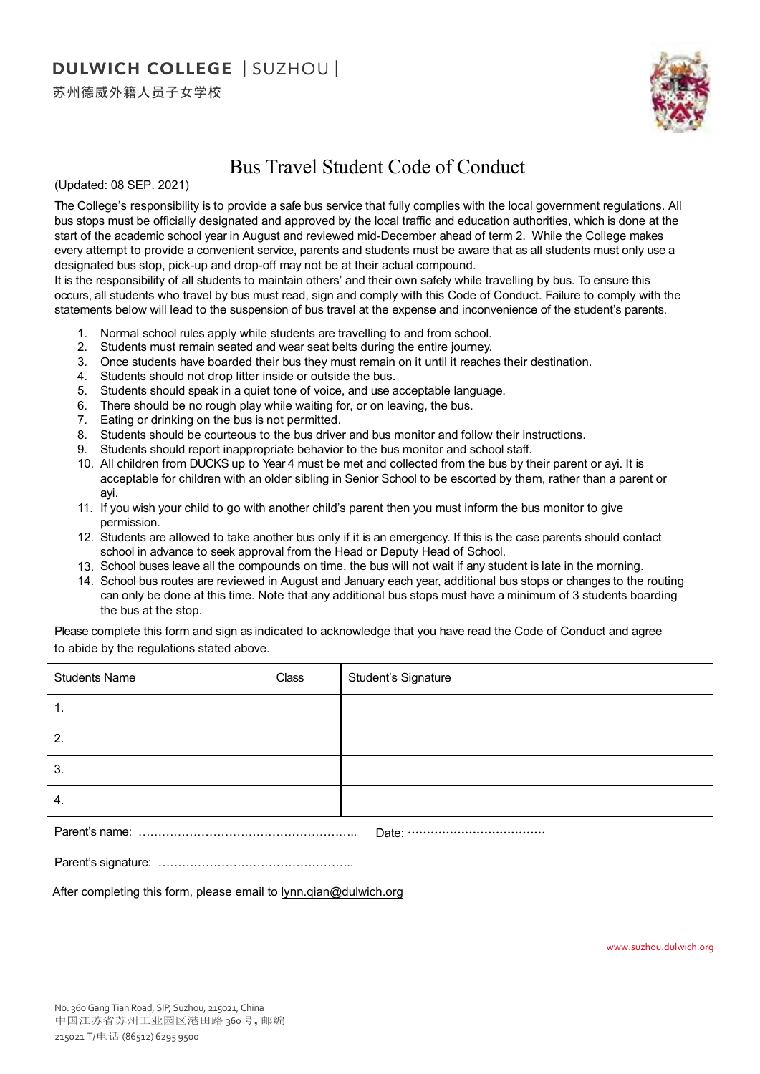## **DULWICH COLLEGE | SUZHOU |**

苏州德威外籍人员子女学校



## Bus Travel Student Code of Conduct

(Updated: 08 SEP. 2021)

The College's responsibility is to provide a safe bus service that fully complies with the local government regulations. All bus stops must be officially designated and approved by the local traffic and education authorities, which is done at the start of the academic school year in August and reviewed mid-December ahead of term 2. While the College makes every attempt to provide a convenient service, parents and students must be aware that as all students must only use a designated bus stop, pick-up and drop-off may not be at their actual compound.

It is the responsibility of all students to maintain others' and their own safety while travelling by bus. To ensure this occurs, all students who travel by bus must read, sign and comply with this Code of Conduct. Failure to comply with the statements below will lead to the suspension of bus travel at the expense and inconvenience of the student's parents.

- 1. Normal school rules apply while students are travelling to and from school.
- 2. Students must remain seated and wear seat belts during the entire journey.
- 3. Once students have boarded their bus they must remain on it until it reaches their destination.
- 4. Students should not drop litter inside or outside the bus.
- 5. Students should speak in a quiet tone of voice, and use acceptable language.
- 6. There should be no rough play while waiting for, or on leaving, the bus.
- 7. Eating or drinking on the bus is not permitted.
- 8. Students should be courteous to the bus driver and bus monitor and follow their instructions.
- 9. Students should report inappropriate behavior to the bus monitor and school staff.
- 10. All children from DUCKS up to Year 4 must be met and collected from the bus by their parent or ayi. It is acceptable for children with an older sibling in Senior School to be escorted by them, rather than a parent or ayi.
- 11. If you wish your child to go with another child's parent then you must inform the bus monitor to give permission.
- 12. Students are allowed to take another bus only if it is an emergency. If this is the case parents should contact school in advance to seek approval from the Head or Deputy Head of School.
- 13. School buses leave all the compounds on time, the bus will not wait if any student is late in the morning.
- 14. School bus routes are reviewed in August and January each year, additional bus stops or changes to the routing can only be done at this time. Note that any additional bus stops must have a minimum of 3 students boarding the bus at the stop.

to abide by the regulations stated above. Please complete this form and sign as indicated to acknowledge that you have read the Code of Conduct and agree

| <b>Students Name</b> | Class | Student's Signature            |
|----------------------|-------|--------------------------------|
| т.                   |       |                                |
| 2.                   |       |                                |
| 3.                   |       |                                |
| 4.                   |       |                                |
| $\sim$ $\sim$        |       | the property of the control of |

Parent's name: ……………………………………………….. Date: ………………………………

Parent's signature: …………………………………………..

After completing this form, please email to lynn.qian@dulwich.org